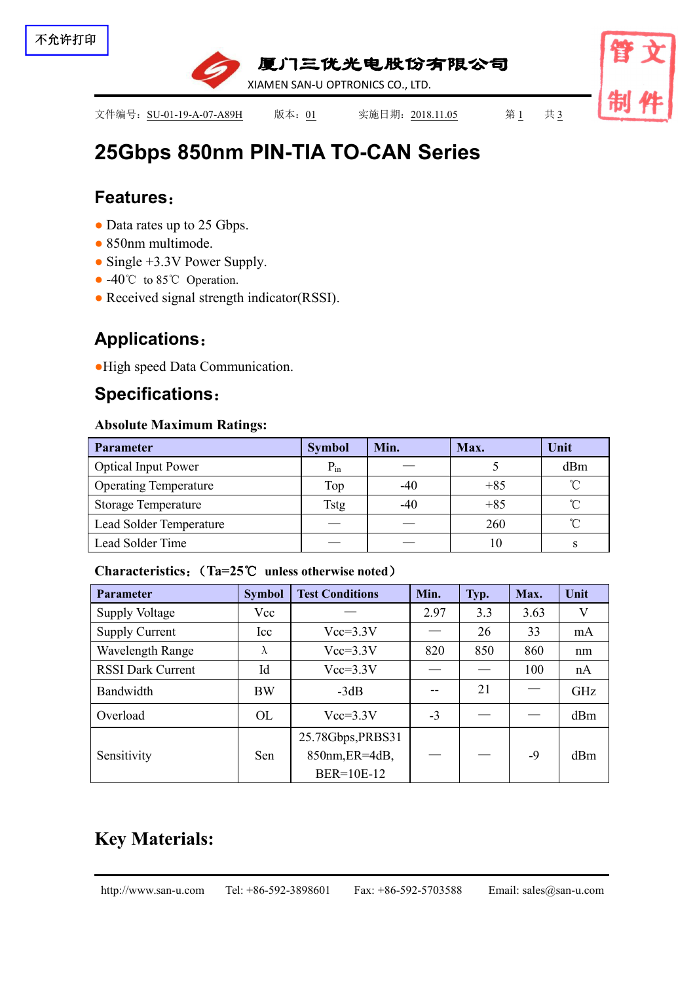

文件编号: SU-01-19-A-07-A89H 版本: 01 实施日期: 2018.11.05 第1 共3

# **25Gbps 850nm PIN-TIA TO-CAN [Series](file:///C:/Users/Administrator/AppData/Local/youdao/dict/Application/7.5.2.0/resultui/dict/?keyword=series)**

## **Features**:

- Data rates up to 25 Gbps.
- 850nm multimode.
- Single +3.3V Power Supply.
- -40°C to 85°C Operation.
- Received signal strength indicator(RSSI).

# **Applications**:

●High speed Data Communication.

## **Specifications**:

### **Absolute Maximum Ratings:**

| Parameter                      | <b>Symbol</b> | Min.  | Max.  | Unit       |
|--------------------------------|---------------|-------|-------|------------|
| <b>Optical Input Power</b>     | $P_{in}$      |       |       | dBm        |
| <b>Operating Temperature</b>   | Top           | $-40$ | $+85$ | $^{\circ}$ |
| <b>Storage Temperature</b>     | <b>Tstg</b>   | $-40$ | $+85$ | $\sim$     |
| <b>Lead Solder Temperature</b> |               |       | 260   | $\gamma$   |
| Lead Solder Time               |               |       | 10    |            |

#### **Characteristics**:(**Ta=25**℃ **unless otherwise noted**)

| Parameter                | <b>Symbol</b> | <b>Test Conditions</b>                            | Min. | Typ. | Max.              | Unit |
|--------------------------|---------------|---------------------------------------------------|------|------|-------------------|------|
| <b>Supply Voltage</b>    | Vcc           | 2.97<br>3.63<br>V<br>3.3                          |      |      |                   |      |
| <b>Supply Current</b>    | Icc           | 33<br>26<br>$Vcc=3.3V$<br>mA                      |      |      |                   |      |
| Wavelength Range         | $\Lambda$     | $Vcc=3.3V$                                        | 820  | 850  | 860               | nm   |
| <b>RSSI Dark Current</b> | Id            | $Vcc=3.3V$                                        |      |      | 100               | nA   |
| Bandwidth                | <b>BW</b>     | $-3dB$                                            |      | 21   | $\hspace{0.05cm}$ | GHz  |
| Overload                 | OL            | $Vcc=3.3V$                                        | $-3$ |      |                   | dBm  |
| Sensitivity              | Sen           | 25.78Gbps, PRBS31<br>850nm, ER=4dB,<br>BER=10E-12 |      |      | $-9$              | dBm  |

# **Key Materials:**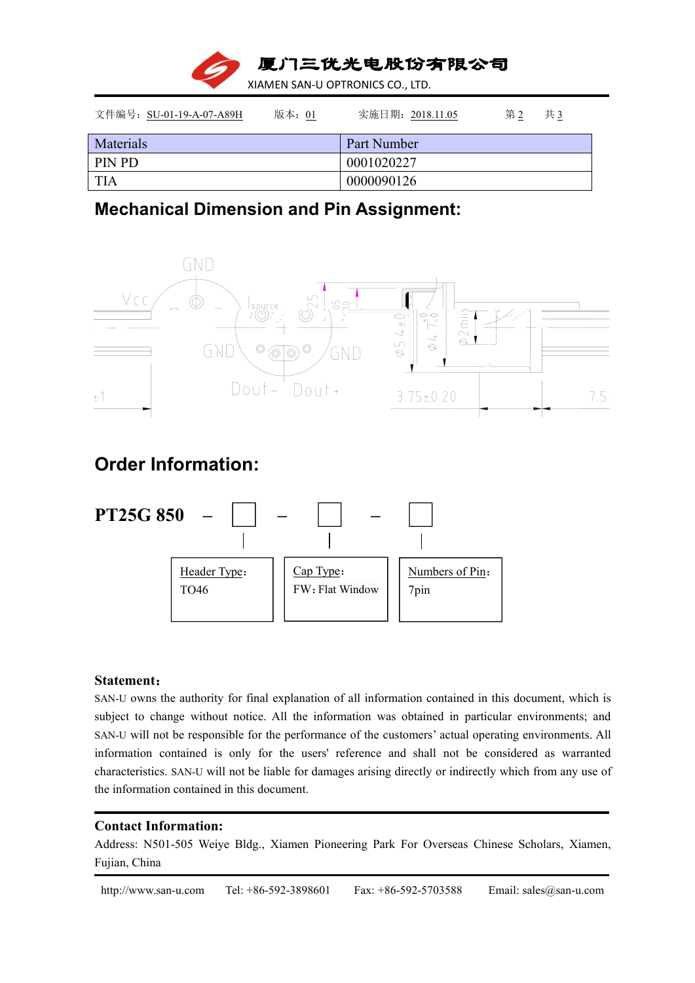

| 文件编号: SU-01-19-A-07-A89H | 版本: 01 | 实施日期: 2018.11.05 | 第2 | 共3 |
|--------------------------|--------|------------------|----|----|
| Materials                |        | Part Number      |    |    |
| PIN PD                   |        | 0001020227       |    |    |
| <b>TIA</b>               |        | 0000090126       |    |    |

### **Mechanical Dimension and Pin Assignment:**



## **Order Information:**



#### **Statement**:

SAN-U owns the authority for final explanation of all information contained in this document, which is subject to change without notice. All the information was obtained in particular environments; and SAN-U will not be responsible for the performance of the customers' actual operating environments. All information contained is only for the users' reference and shall not be considered as warranted characteristics. SAN-U will not be liable for damages arising directly or indirectly which from any use of the information contained in this document.

#### **Contact Information:**

Address: N501-505 Weiye Bldg., Xiamen Pioneering Park For Overseas Chinese Scholars, Xiamen, Fujian, China